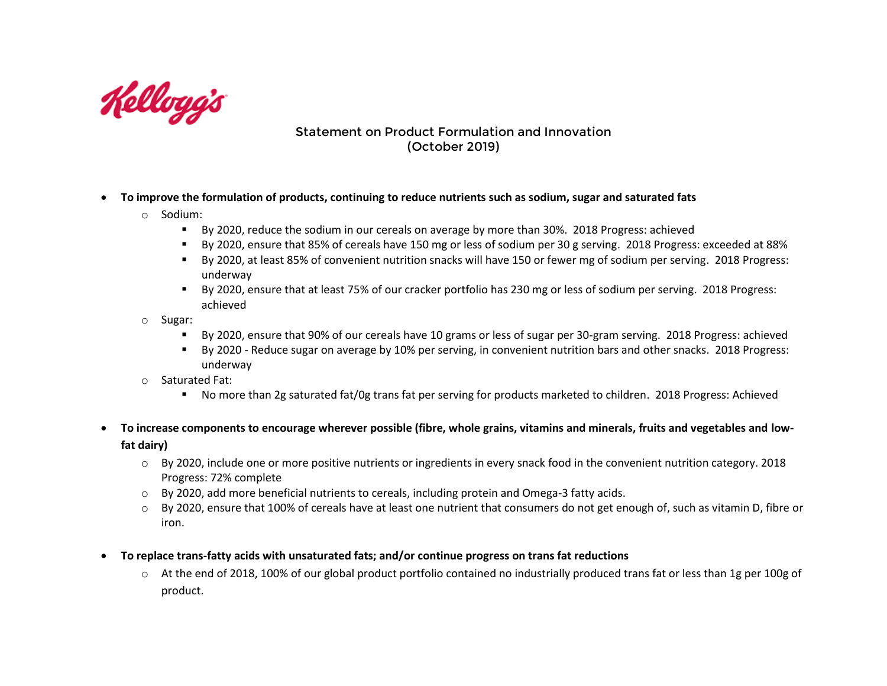

## Statement on Product Formulation and Innovation (October 2019)

- **To improve the formulation of products, continuing to reduce nutrients such as sodium, sugar and saturated fats**
	- o Sodium:
		- By 2020, reduce the sodium in our cereals on average by more than 30%. 2018 Progress: achieved
		- By 2020, ensure that 85% of cereals have 150 mg or less of sodium per 30 g serving. 2018 Progress: exceeded at 88%
		- By 2020, at least 85% of convenient nutrition snacks will have 150 or fewer mg of sodium per serving. 2018 Progress: underway
		- By 2020, ensure that at least 75% of our cracker portfolio has 230 mg or less of sodium per serving. 2018 Progress: achieved
	- o Sugar:
		- By 2020, ensure that 90% of our cereals have 10 grams or less of sugar per 30-gram serving. 2018 Progress: achieved
		- By 2020 Reduce sugar on average by 10% per serving, in convenient nutrition bars and other snacks. 2018 Progress: underway
	- o Saturated Fat:
		- No more than 2g saturated fat/0g trans fat per serving for products marketed to children. 2018 Progress: Achieved
- **To increase components to encourage wherever possible (fibre, whole grains, vitamins and minerals, fruits and vegetables and lowfat dairy)**
	- $\circ$  By 2020, include one or more positive nutrients or ingredients in every snack food in the convenient nutrition category. 2018 Progress: 72% complete
	- $\circ$  By 2020, add more beneficial nutrients to cereals, including protein and Omega-3 fatty acids.
	- $\circ$  By 2020, ensure that 100% of cereals have at least one nutrient that consumers do not get enough of, such as vitamin D, fibre or iron.
- **To replace trans-fatty acids with unsaturated fats; and/or continue progress on trans fat reductions**
	- $\circ$  At the end of 2018, 100% of our global product portfolio contained no industrially produced trans fat or less than 1g per 100g of product.